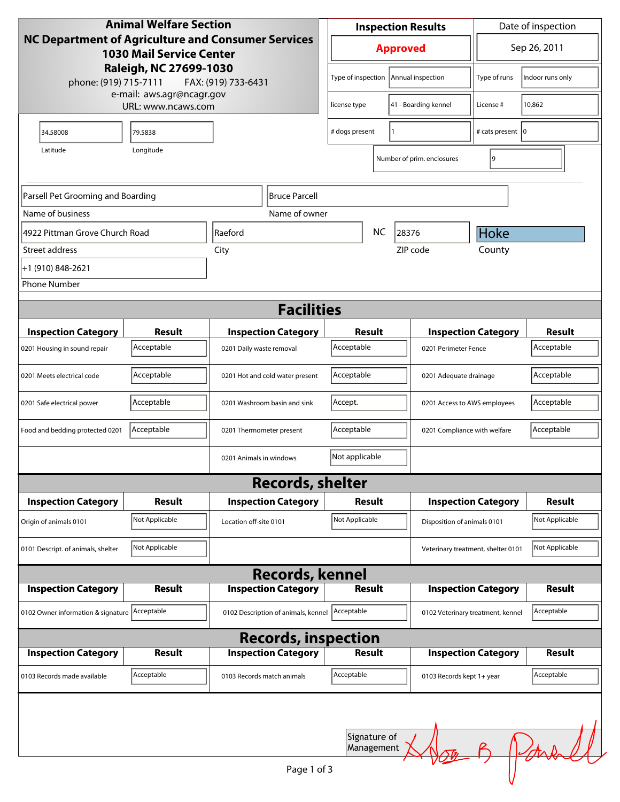| <b>Animal Welfare Section</b>                                                                       |                    |                          | <b>Inspection Results</b>                      |                            |                   | Date of inspection          |                                    |                |
|-----------------------------------------------------------------------------------------------------|--------------------|--------------------------|------------------------------------------------|----------------------------|-------------------|-----------------------------|------------------------------------|----------------|
| <b>NC Department of Agriculture and Consumer Services</b><br><b>1030 Mail Service Center</b>        |                    |                          |                                                | <b>Approved</b>            |                   |                             | Sep 26, 2011                       |                |
| Raleigh, NC 27699-1030<br>phone: (919) 715-7111<br>FAX: (919) 733-6431<br>e-mail: aws.agr@ncagr.gov |                    |                          | Type of inspection                             |                            | Annual inspection | Type of runs                | Indoor runs only                   |                |
|                                                                                                     | URL: www.ncaws.com |                          |                                                | license type               |                   | 41 - Boarding kennel        | License #                          | 10,862         |
| 34.58008                                                                                            | 79.5838            |                          |                                                | # dogs present             |                   | $\mathbf{1}$                | # cats present   0                 |                |
| Latitude                                                                                            | Longitude          |                          |                                                |                            |                   | Number of prim. enclosures  | 9                                  |                |
| Parsell Pet Grooming and Boarding                                                                   |                    |                          | Bruce Parcell                                  |                            |                   |                             |                                    |                |
| Name of business                                                                                    |                    |                          | Name of owner                                  |                            |                   |                             |                                    |                |
| 4922 Pittman Grove Church Road                                                                      |                    | Raeford                  |                                                | NC.                        |                   | 28376                       | Hoke                               |                |
| Street address                                                                                      |                    | City                     |                                                | ZIP code                   | County            |                             |                                    |                |
| +1 (910) 848-2621                                                                                   |                    |                          |                                                |                            |                   |                             |                                    |                |
| <b>Phone Number</b>                                                                                 |                    |                          |                                                |                            |                   |                             |                                    |                |
|                                                                                                     |                    |                          | <b>Facilities</b>                              |                            |                   |                             |                                    |                |
| <b>Inspection Category</b>                                                                          | Result             |                          | <b>Inspection Category</b>                     | <b>Result</b>              |                   |                             | <b>Inspection Category</b>         |                |
| 0201 Housing in sound repair                                                                        | Acceptable         | 0201 Daily waste removal |                                                | Acceptable                 |                   |                             | 0201 Perimeter Fence               |                |
| 0201 Meets electrical code                                                                          | Acceptable         |                          | 0201 Hot and cold water present                | Acceptable                 |                   |                             | 0201 Adequate drainage             |                |
| 0201 Safe electrical power                                                                          | Acceptable         |                          | 0201 Washroom basin and sink                   | Accept.                    |                   |                             | 0201 Access to AWS employees       |                |
| Food and bedding protected 0201                                                                     | Acceptable         |                          | 0201 Thermometer present                       | Acceptable                 |                   |                             | 0201 Compliance with welfare       |                |
|                                                                                                     |                    | 0201 Animals in windows  |                                                | Not applicable             |                   |                             |                                    |                |
|                                                                                                     |                    |                          | <b>Records, shelter</b>                        |                            |                   |                             |                                    |                |
| <b>Inspection Category</b>                                                                          | Result             |                          | <b>Inspection Category</b>                     | <b>Result</b>              |                   |                             | <b>Inspection Category</b>         | Result         |
| Origin of animals 0101                                                                              | Not Applicable     | Location off-site 0101   |                                                | Not Applicable             |                   | Disposition of animals 0101 |                                    | Not Applicable |
| 0101 Descript. of animals, shelter                                                                  | Not Applicable     |                          |                                                |                            |                   |                             | Veterinary treatment, shelter 0101 | Not Applicable |
|                                                                                                     |                    |                          | <b>Records, kennel</b>                         |                            |                   |                             |                                    |                |
| <b>Inspection Category</b>                                                                          | <b>Result</b>      |                          | <b>Inspection Category</b>                     | <b>Result</b>              |                   |                             | <b>Inspection Category</b>         |                |
| 0102 Owner information & signature Acceptable                                                       |                    |                          | 0102 Description of animals, kennel Acceptable |                            |                   |                             | 0102 Veterinary treatment, kennel  | Acceptable     |
|                                                                                                     |                    |                          | <b>Records, inspection</b>                     |                            |                   |                             |                                    |                |
| <b>Inspection Category</b>                                                                          | <b>Result</b>      |                          | <b>Inspection Category</b>                     | <b>Result</b>              |                   |                             | <b>Inspection Category</b>         | <b>Result</b>  |
| 0103 Records made available                                                                         | Acceptable         |                          | 0103 Records match animals                     | Acceptable                 |                   | 0103 Records kept 1+ year   |                                    | Acceptable     |
|                                                                                                     |                    |                          | Page 1 of 3                                    | Signature of<br>Management |                   |                             |                                    |                |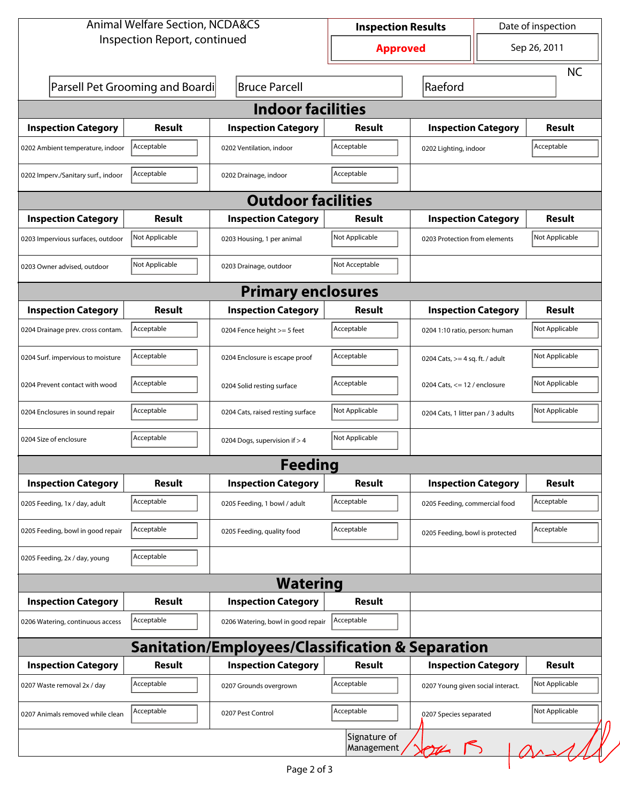| <b>Animal Welfare Section, NCDA&amp;CS</b> |                                 |                                                             |                                                 | <b>Inspection Results</b>         | Date of inspection                 |                |
|--------------------------------------------|---------------------------------|-------------------------------------------------------------|-------------------------------------------------|-----------------------------------|------------------------------------|----------------|
| Inspection Report, continued               |                                 |                                                             | <b>Approved</b>                                 |                                   |                                    | Sep 26, 2011   |
|                                            |                                 |                                                             |                                                 |                                   |                                    | <b>NC</b>      |
|                                            | Parsell Pet Grooming and Boardi | <b>Bruce Parcell</b>                                        |                                                 | Raeford                           |                                    |                |
|                                            |                                 | <b>Indoor facilities</b>                                    |                                                 |                                   |                                    |                |
| <b>Inspection Category</b>                 | Result                          | <b>Inspection Category</b>                                  | Result                                          |                                   | <b>Inspection Category</b>         |                |
| 0202 Ambient temperature, indoor           | Acceptable                      | 0202 Ventilation, indoor                                    | Acceptable                                      | 0202 Lighting, indoor             |                                    | Acceptable     |
| 0202 Imperv./Sanitary surf., indoor        | Acceptable                      | 0202 Drainage, indoor                                       | Acceptable                                      |                                   |                                    |                |
|                                            |                                 | <b>Outdoor facilities</b>                                   |                                                 |                                   |                                    |                |
| <b>Inspection Category</b>                 | Result                          | <b>Inspection Category</b>                                  | Result                                          | <b>Inspection Category</b>        |                                    | <b>Result</b>  |
| 0203 Impervious surfaces, outdoor          | Not Applicable                  | 0203 Housing, 1 per animal                                  | Not Applicable                                  |                                   | 0203 Protection from elements      |                |
| 0203 Owner advised, outdoor                | Not Applicable                  | 0203 Drainage, outdoor                                      | Not Acceptable                                  |                                   |                                    |                |
|                                            |                                 | <b>Primary enclosures</b>                                   |                                                 |                                   |                                    |                |
| <b>Inspection Category</b>                 | Result                          | <b>Inspection Category</b>                                  | Result                                          | <b>Inspection Category</b>        |                                    | Result         |
| 0204 Drainage prev. cross contam.          | Acceptable                      | 0204 Fence height >= 5 feet                                 | Acceptable                                      |                                   | 0204 1:10 ratio, person: human     |                |
| 0204 Surf. impervious to moisture          | Acceptable                      | 0204 Enclosure is escape proof                              | Acceptable                                      | 0204 Cats, $>=$ 4 sq. ft. / adult |                                    | Not Applicable |
| 0204 Prevent contact with wood             | Acceptable                      | 0204 Solid resting surface                                  | Acceptable                                      |                                   | 0204 Cats, $<= 12$ / enclosure     |                |
| 0204 Enclosures in sound repair            | Acceptable                      | 0204 Cats, raised resting surface                           | Not Applicable                                  |                                   | 0204 Cats, 1 litter pan / 3 adults |                |
| 0204 Size of enclosure                     | Acceptable                      | 0204 Dogs, supervision if > 4                               | Not Applicable                                  |                                   |                                    |                |
|                                            |                                 | <b>Feeding</b>                                              |                                                 |                                   |                                    |                |
| <b>Inspection Category</b>                 | <b>Result</b>                   | <b>Inspection Category</b>                                  | Result                                          | <b>Inspection Category</b>        |                                    | <b>Result</b>  |
| 0205 Feeding, 1x / day, adult              | Acceptable                      | 0205 Feeding, 1 bowl / adult                                | Acceptable                                      |                                   | 0205 Feeding, commercial food      |                |
| 0205 Feeding, bowl in good repair          | Acceptable                      | 0205 Feeding, quality food                                  | Acceptable                                      | 0205 Feeding, bowl is protected   |                                    | Acceptable     |
| 0205 Feeding, 2x / day, young              | Acceptable                      |                                                             |                                                 |                                   |                                    |                |
|                                            |                                 | <b>Watering</b>                                             |                                                 |                                   |                                    |                |
| <b>Inspection Category</b>                 | <b>Result</b>                   | <b>Inspection Category</b>                                  | Result                                          |                                   |                                    |                |
| 0206 Watering, continuous access           | Acceptable                      | 0206 Watering, bowl in good repair                          | Acceptable                                      |                                   |                                    |                |
|                                            |                                 | <b>Sanitation/Employees/Classification &amp; Separation</b> |                                                 |                                   |                                    |                |
| <b>Inspection Category</b>                 | Result                          | <b>Inspection Category</b>                                  | <b>Result</b>                                   | <b>Inspection Category</b>        |                                    | <b>Result</b>  |
| 0207 Waste removal 2x / day                | Acceptable                      | 0207 Grounds overgrown                                      | Acceptable<br>0207 Young given social interact. |                                   | Not Applicable                     |                |
| 0207 Animals removed while clean           | Acceptable                      | 0207 Pest Control                                           | Acceptable                                      | 0207 Species separated            |                                    | Not Applicable |
|                                            |                                 |                                                             | Signature of<br>Management                      | Y                                 |                                    | $\sqrt{a}$     |